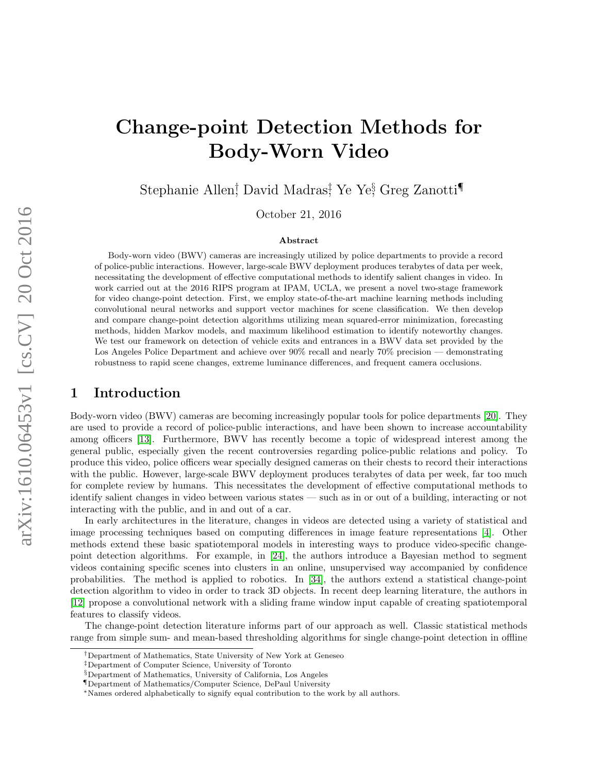# Change-point Detection Methods for Body-Worn Video

Stephanie Allen<sup>†</sup>, David Madras<sup>‡</sup>, Ye Ye§ Greg Zanotti¶

October 21, 2016

#### Abstract

Body-worn video (BWV) cameras are increasingly utilized by police departments to provide a record of police-public interactions. However, large-scale BWV deployment produces terabytes of data per week, necessitating the development of effective computational methods to identify salient changes in video. In work carried out at the 2016 RIPS program at IPAM, UCLA, we present a novel two-stage framework for video change-point detection. First, we employ state-of-the-art machine learning methods including convolutional neural networks and support vector machines for scene classification. We then develop and compare change-point detection algorithms utilizing mean squared-error minimization, forecasting methods, hidden Markov models, and maximum likelihood estimation to identify noteworthy changes. We test our framework on detection of vehicle exits and entrances in a BWV data set provided by the Los Angeles Police Department and achieve over 90% recall and nearly 70% precision — demonstrating robustness to rapid scene changes, extreme luminance differences, and frequent camera occlusions.

# 1 Introduction

Body-worn video (BWV) cameras are becoming increasingly popular tools for police departments [\[20\]](#page-16-0). They are used to provide a record of police-public interactions, and have been shown to increase accountability among officers [\[13\]](#page-15-0). Furthermore, BWV has recently become a topic of widespread interest among the general public, especially given the recent controversies regarding police-public relations and policy. To produce this video, police officers wear specially designed cameras on their chests to record their interactions with the public. However, large-scale BWV deployment produces terabytes of data per week, far too much for complete review by humans. This necessitates the development of effective computational methods to identify salient changes in video between various states — such as in or out of a building, interacting or not interacting with the public, and in and out of a car.

In early architectures in the literature, changes in videos are detected using a variety of statistical and image processing techniques based on computing differences in image feature representations [\[4\]](#page-15-1). Other methods extend these basic spatiotemporal models in interesting ways to produce video-specific changepoint detection algorithms. For example, in [\[24\]](#page-16-1), the authors introduce a Bayesian method to segment videos containing specific scenes into clusters in an online, unsupervised way accompanied by confidence probabilities. The method is applied to robotics. In [\[34\]](#page-16-2), the authors extend a statistical change-point detection algorithm to video in order to track 3D objects. In recent deep learning literature, the authors in [\[12\]](#page-15-2) propose a convolutional network with a sliding frame window input capable of creating spatiotemporal features to classify videos.

The change-point detection literature informs part of our approach as well. Classic statistical methods range from simple sum- and mean-based thresholding algorithms for single change-point detection in offline

<sup>†</sup>Department of Mathematics, State University of New York at Geneseo

<sup>‡</sup>Department of Computer Science, University of Toronto

<sup>§</sup>Department of Mathematics, University of California, Los Angeles

<sup>¶</sup>Department of Mathematics/Computer Science, DePaul University

<sup>∗</sup>Names ordered alphabetically to signify equal contribution to the work by all authors.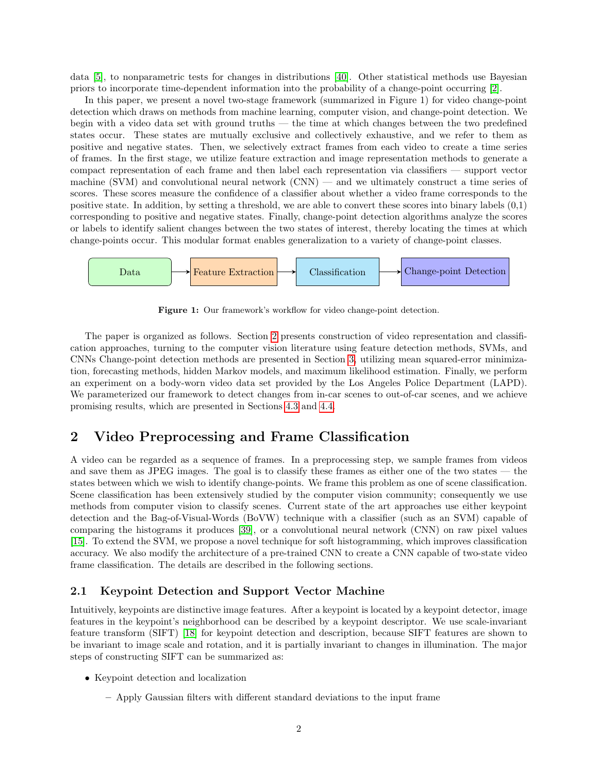data [\[5\]](#page-15-3), to nonparametric tests for changes in distributions [\[40\]](#page-17-0). Other statistical methods use Bayesian priors to incorporate time-dependent information into the probability of a change-point occurring [\[2\]](#page-15-4).

In this paper, we present a novel two-stage framework (summarized in Figure 1) for video change-point detection which draws on methods from machine learning, computer vision, and change-point detection. We begin with a video data set with ground truths — the time at which changes between the two predefined states occur. These states are mutually exclusive and collectively exhaustive, and we refer to them as positive and negative states. Then, we selectively extract frames from each video to create a time series of frames. In the first stage, we utilize feature extraction and image representation methods to generate a compact representation of each frame and then label each representation via classifiers — support vector machine (SVM) and convolutional neural network (CNN) — and we ultimately construct a time series of scores. These scores measure the confidence of a classifier about whether a video frame corresponds to the positive state. In addition, by setting a threshold, we are able to convert these scores into binary labels (0,1) corresponding to positive and negative states. Finally, change-point detection algorithms analyze the scores or labels to identify salient changes between the two states of interest, thereby locating the times at which change-points occur. This modular format enables generalization to a variety of change-point classes.



Figure 1: Our framework's workflow for video change-point detection.

The paper is organized as follows. Section [2](#page-1-0) presents construction of video representation and classification approaches, turning to the computer vision literature using feature detection methods, SVMs, and CNNs Change-point detection methods are presented in Section [3,](#page-5-0) utilizing mean squared-error minimization, forecasting methods, hidden Markov models, and maximum likelihood estimation. Finally, we perform an experiment on a body-worn video data set provided by the Los Angeles Police Department (LAPD). We parameterized our framework to detect changes from in-car scenes to out-of-car scenes, and we achieve promising results, which are presented in Sections [4.3](#page-10-0) and [4.4.](#page-11-0)

# <span id="page-1-0"></span>2 Video Preprocessing and Frame Classification

A video can be regarded as a sequence of frames. In a preprocessing step, we sample frames from videos and save them as JPEG images. The goal is to classify these frames as either one of the two states — the states between which we wish to identify change-points. We frame this problem as one of scene classification. Scene classification has been extensively studied by the computer vision community; consequently we use methods from computer vision to classify scenes. Current state of the art approaches use either keypoint detection and the Bag-of-Visual-Words (BoVW) technique with a classifier (such as an SVM) capable of comparing the histograms it produces [\[39\]](#page-17-1), or a convolutional neural network (CNN) on raw pixel values [\[15\]](#page-15-5). To extend the SVM, we propose a novel technique for soft histogramming, which improves classification accuracy. We also modify the architecture of a pre-trained CNN to create a CNN capable of two-state video frame classification. The details are described in the following sections.

## 2.1 Keypoint Detection and Support Vector Machine

Intuitively, keypoints are distinctive image features. After a keypoint is located by a keypoint detector, image features in the keypoint's neighborhood can be described by a keypoint descriptor. We use scale-invariant feature transform (SIFT) [\[18\]](#page-16-3) for keypoint detection and description, because SIFT features are shown to be invariant to image scale and rotation, and it is partially invariant to changes in illumination. The major steps of constructing SIFT can be summarized as:

- Keypoint detection and localization
	- Apply Gaussian filters with different standard deviations to the input frame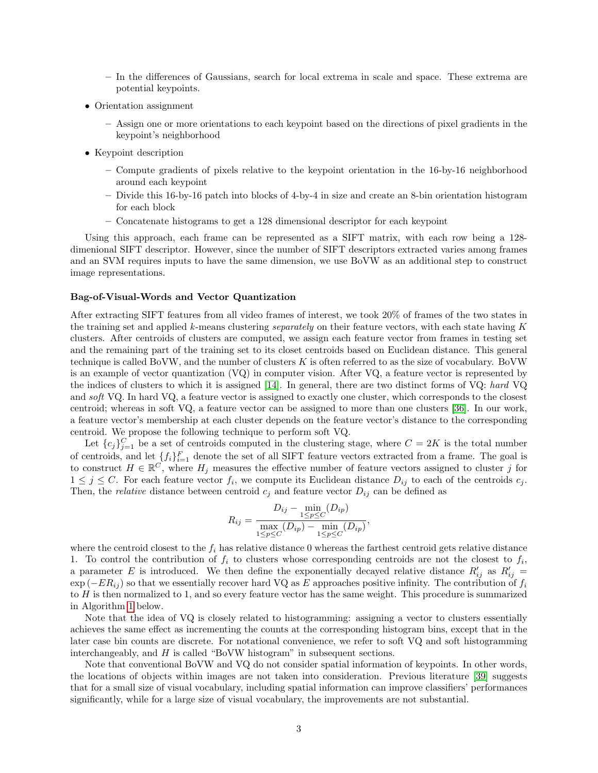- In the differences of Gaussians, search for local extrema in scale and space. These extrema are potential keypoints.
- Orientation assignment
	- Assign one or more orientations to each keypoint based on the directions of pixel gradients in the keypoint's neighborhood
- Keypoint description
	- Compute gradients of pixels relative to the keypoint orientation in the 16-by-16 neighborhood around each keypoint
	- Divide this 16-by-16 patch into blocks of 4-by-4 in size and create an 8-bin orientation histogram for each block
	- Concatenate histograms to get a 128 dimensional descriptor for each keypoint

Using this approach, each frame can be represented as a SIFT matrix, with each row being a 128 dimenional SIFT descriptor. However, since the number of SIFT descriptors extracted varies among frames and an SVM requires inputs to have the same dimension, we use BoVW as an additional step to construct image representations.

#### Bag-of-Visual-Words and Vector Quantization

After extracting SIFT features from all video frames of interest, we took 20% of frames of the two states in the training set and applied k-means clustering separately on their feature vectors, with each state having K clusters. After centroids of clusters are computed, we assign each feature vector from frames in testing set and the remaining part of the training set to its closet centroids based on Euclidean distance. This general technique is called BoVW, and the number of clusters K is often referred to as the size of vocabulary. BoVW is an example of vector quantization (VQ) in computer vision. After VQ, a feature vector is represented by the indices of clusters to which it is assigned [\[14\]](#page-15-6). In general, there are two distinct forms of VQ: hard VQ and soft VQ. In hard VQ, a feature vector is assigned to exactly one cluster, which corresponds to the closest centroid; whereas in soft VQ, a feature vector can be assigned to more than one clusters [\[36\]](#page-16-4). In our work, a feature vector's membership at each cluster depends on the feature vector's distance to the corresponding centroid. We propose the following technique to perform soft VQ.

Let  ${c_j}_{j=1}^C$  be a set of centroids computed in the clustering stage, where  $C = 2K$  is the total number of centroids, and let  $\{f_i\}_{i=1}^F$  denote the set of all SIFT feature vectors extracted from a frame. The goal is to construct  $H \in \mathbb{R}^C$ , where  $H_j$  measures the effective number of feature vectors assigned to cluster j for  $1 \leq j \leq C$ . For each feature vector  $f_i$ , we compute its Euclidean distance  $D_{ij}$  to each of the centroids  $c_j$ . Then, the *relative* distance between centroid  $c_j$  and feature vector  $D_{ij}$  can be defined as

$$
R_{ij} = \frac{D_{ij} - \min_{1 \le p \le C} (D_{ip})}{\max_{1 \le p \le C} (D_{ip}) - \min_{1 \le p \le C} (D_{ip})},
$$

where the centroid closest to the  $f_i$  has relative distance 0 whereas the farthest centroid gets relative distance 1. To control the contribution of  $f_i$  to clusters whose corresponding centroids are not the closest to  $f_i$ , a parameter E is introduced. We then define the exponentially decayed relative distance  $R'_{ij}$  as  $R'_{ij}$  $\exp(-ER_{ij})$  so that we essentially recover hard VQ as E approaches positive infinity. The contribution of  $f_i$ to  $H$  is then normalized to 1, and so every feature vector has the same weight. This procedure is summarized in Algorithm [1](#page-3-0) below.

Note that the idea of VQ is closely related to histogramming: assigning a vector to clusters essentially achieves the same effect as incrementing the counts at the corresponding histogram bins, except that in the later case bin counts are discrete. For notational convenience, we refer to soft VQ and soft histogramming interchangeably, and  $H$  is called "BoVW histogram" in subsequent sections.

Note that conventional BoVW and VQ do not consider spatial information of keypoints. In other words, the locations of objects within images are not taken into consideration. Previous literature [\[39\]](#page-17-1) suggests that for a small size of visual vocabulary, including spatial information can improve classifiers' performances significantly, while for a large size of visual vocabulary, the improvements are not substantial.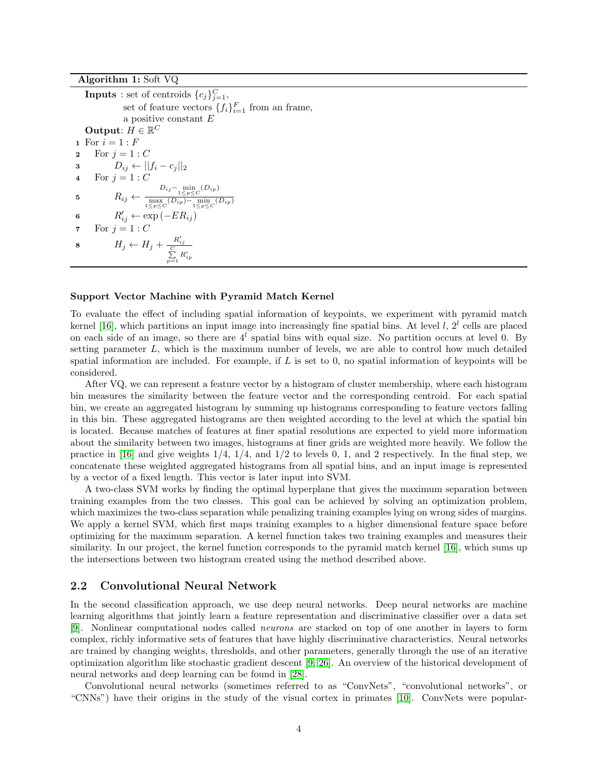Algorithm 1: Soft VQ

<span id="page-3-0"></span>

| <b>Inputs</b> : set of centroids $\{c_j\}_{j=1}^C$ ,                                                                                                        |  |  |  |
|-------------------------------------------------------------------------------------------------------------------------------------------------------------|--|--|--|
| set of feature vectors $\{f_i\}_{i=1}^F$ from an frame,                                                                                                     |  |  |  |
| a positive constant $E$                                                                                                                                     |  |  |  |
| Output: $H \in \mathbb{R}^C$                                                                                                                                |  |  |  |
| 1 For $i = 1 : F$                                                                                                                                           |  |  |  |
| For $i=1:C$                                                                                                                                                 |  |  |  |
| $D_{ij} \leftarrow   f_i - c_j  _2$                                                                                                                         |  |  |  |
| For $i=1:C$                                                                                                                                                 |  |  |  |
| $R_{ij} \leftarrow \frac{D_{ij} - \min\limits_{1 \leq p \leq C} (D_{ip})}{\max\limits_{1 \leq p \leq C} (D_{ip}) - \min\limits_{1 \leq n \leq C} (D_{ip})}$ |  |  |  |
| $R'_{ij} \leftarrow \exp(-ER_{ij})$                                                                                                                         |  |  |  |
| For $j=1:C$                                                                                                                                                 |  |  |  |
| $H_j \leftarrow H_j + \frac{R'_{ij}}{\sum\limits_{p=1}^{C}R'_{ip}}$                                                                                         |  |  |  |
|                                                                                                                                                             |  |  |  |

#### Support Vector Machine with Pyramid Match Kernel

To evaluate the effect of including spatial information of keypoints, we experiment with pyramid match kernel [\[16\]](#page-15-7), which partitions an input image into increasingly fine spatial bins. At level  $l, 2<sup>l</sup>$  cells are placed on each side of an image, so there are  $4^l$  spatial bins with equal size. No partition occurs at level 0. By setting parameter  $L$ , which is the maximum number of levels, we are able to control how much detailed spatial information are included. For example, if  $L$  is set to 0, no spatial information of keypoints will be considered.

After VQ, we can represent a feature vector by a histogram of cluster membership, where each histogram bin measures the similarity between the feature vector and the corresponding centroid. For each spatial bin, we create an aggregated histogram by summing up histograms corresponding to feature vectors falling in this bin. These aggregated histograms are then weighted according to the level at which the spatial bin is located. Because matches of features at finer spatial resolutions are expected to yield more information about the similarity between two images, histograms at finer grids are weighted more heavily. We follow the practice in [\[16\]](#page-15-7) and give weights  $1/4$ ,  $1/4$ , and  $1/2$  to levels 0, 1, and 2 respectively. In the final step, we concatenate these weighted aggregated histograms from all spatial bins, and an input image is represented by a vector of a fixed length. This vector is later input into SVM.

A two-class SVM works by finding the optimal hyperplane that gives the maximum separation between training examples from the two classes. This goal can be achieved by solving an optimization problem, which maximizes the two-class separation while penalizing training examples lying on wrong sides of margins. We apply a kernel SVM, which first maps training examples to a higher dimensional feature space before optimizing for the maximum separation. A kernel function takes two training examples and measures their similarity. In our project, the kernel function corresponds to the pyramid match kernel [\[16\]](#page-15-7), which sums up the intersections between two histogram created using the method described above.

#### <span id="page-3-1"></span>2.2 Convolutional Neural Network

In the second classification approach, we use deep neural networks. Deep neural networks are machine learning algorithms that jointly learn a feature representation and discriminative classifier over a data set [\[9\]](#page-15-8). Nonlinear computational nodes called neurons are stacked on top of one another in layers to form complex, richly informative sets of features that have highly discriminative characteristics. Neural networks are trained by changing weights, thresholds, and other parameters, generally through the use of an iterative optimization algorithm like stochastic gradient descent [\[9,](#page-15-8) [26\]](#page-16-5). An overview of the historical development of neural networks and deep learning can be found in [\[28\]](#page-16-6).

Convolutional neural networks (sometimes referred to as "ConvNets", "convolutional networks", or "CNNs") have their origins in the study of the visual cortex in primates [\[10\]](#page-15-9). ConvNets were popular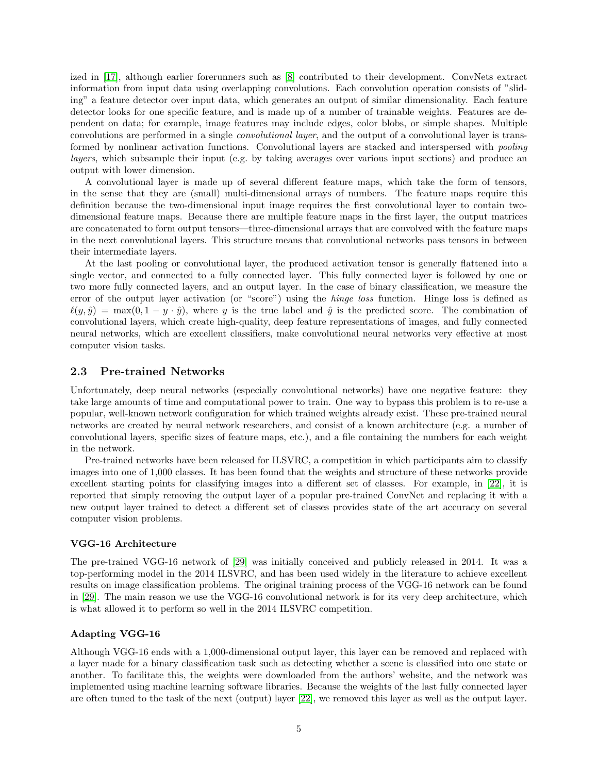ized in [\[17\]](#page-15-10), although earlier forerunners such as [\[8\]](#page-15-11) contributed to their development. ConvNets extract information from input data using overlapping convolutions. Each convolution operation consists of "sliding" a feature detector over input data, which generates an output of similar dimensionality. Each feature detector looks for one specific feature, and is made up of a number of trainable weights. Features are dependent on data; for example, image features may include edges, color blobs, or simple shapes. Multiple convolutions are performed in a single convolutional layer, and the output of a convolutional layer is transformed by nonlinear activation functions. Convolutional layers are stacked and interspersed with pooling layers, which subsample their input (e.g. by taking averages over various input sections) and produce an output with lower dimension.

A convolutional layer is made up of several different feature maps, which take the form of tensors, in the sense that they are (small) multi-dimensional arrays of numbers. The feature maps require this definition because the two-dimensional input image requires the first convolutional layer to contain twodimensional feature maps. Because there are multiple feature maps in the first layer, the output matrices are concatenated to form output tensors—three-dimensional arrays that are convolved with the feature maps in the next convolutional layers. This structure means that convolutional networks pass tensors in between their intermediate layers.

At the last pooling or convolutional layer, the produced activation tensor is generally flattened into a single vector, and connected to a fully connected layer. This fully connected layer is followed by one or two more fully connected layers, and an output layer. In the case of binary classification, we measure the error of the output layer activation (or "score") using the hinge loss function. Hinge loss is defined as  $\ell(y, \hat{y}) = \max(0, 1 - y \cdot \hat{y})$ , where y is the true label and  $\hat{y}$  is the predicted score. The combination of convolutional layers, which create high-quality, deep feature representations of images, and fully connected neural networks, which are excellent classifiers, make convolutional neural networks very effective at most computer vision tasks.

## 2.3 Pre-trained Networks

Unfortunately, deep neural networks (especially convolutional networks) have one negative feature: they take large amounts of time and computational power to train. One way to bypass this problem is to re-use a popular, well-known network configuration for which trained weights already exist. These pre-trained neural networks are created by neural network researchers, and consist of a known architecture (e.g. a number of convolutional layers, specific sizes of feature maps, etc.), and a file containing the numbers for each weight in the network.

Pre-trained networks have been released for ILSVRC, a competition in which participants aim to classify images into one of 1,000 classes. It has been found that the weights and structure of these networks provide excellent starting points for classifying images into a different set of classes. For example, in [\[22\]](#page-16-7), it is reported that simply removing the output layer of a popular pre-trained ConvNet and replacing it with a new output layer trained to detect a different set of classes provides state of the art accuracy on several computer vision problems.

#### VGG-16 Architecture

The pre-trained VGG-16 network of [\[29\]](#page-16-8) was initially conceived and publicly released in 2014. It was a top-performing model in the 2014 ILSVRC, and has been used widely in the literature to achieve excellent results on image classification problems. The original training process of the VGG-16 network can be found in [\[29\]](#page-16-8). The main reason we use the VGG-16 convolutional network is for its very deep architecture, which is what allowed it to perform so well in the 2014 ILSVRC competition.

### Adapting VGG-16

Although VGG-16 ends with a 1,000-dimensional output layer, this layer can be removed and replaced with a layer made for a binary classification task such as detecting whether a scene is classified into one state or another. To facilitate this, the weights were downloaded from the authors' website, and the network was implemented using machine learning software libraries. Because the weights of the last fully connected layer are often tuned to the task of the next (output) layer [\[22\]](#page-16-7), we removed this layer as well as the output layer.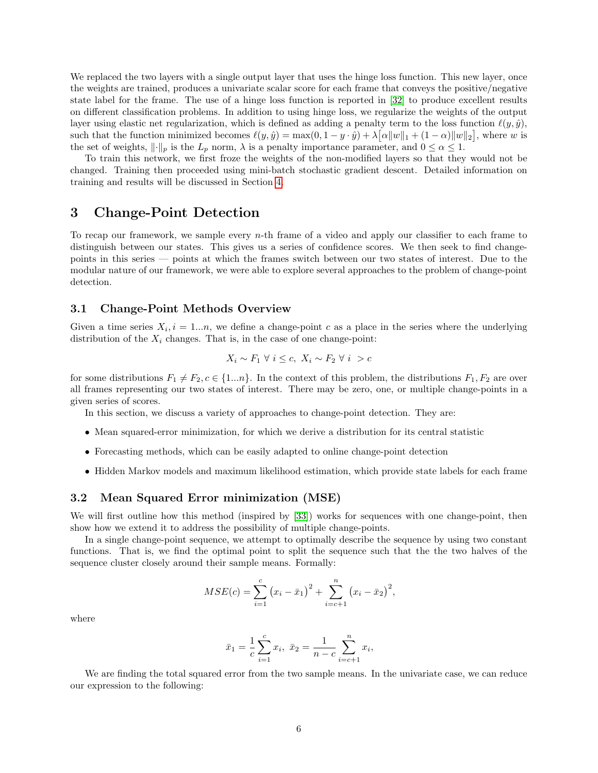We replaced the two layers with a single output layer that uses the hinge loss function. This new layer, once the weights are trained, produces a univariate scalar score for each frame that conveys the positive/negative state label for the frame. The use of a hinge loss function is reported in [\[32\]](#page-16-9) to produce excellent results on different classification problems. In addition to using hinge loss, we regularize the weights of the output layer using elastic net regularization, which is defined as adding a penalty term to the loss function  $\ell(y, \hat{y})$ , such that the function minimized becomes  $\ell(y, \hat{y}) = \max(0, 1 - y \cdot \hat{y}) + \lambda \big[\alpha \|w\|_1 + (1 - \alpha) \|w\|_2\big]$ , where w is the set of weights,  $\|\cdot\|_p$  is the  $L_p$  norm,  $\lambda$  is a penalty importance parameter, and  $0 \leq \alpha \leq 1$ .

To train this network, we first froze the weights of the non-modified layers so that they would not be changed. Training then proceeded using mini-batch stochastic gradient descent. Detailed information on training and results will be discussed in Section [4.](#page-10-1)

# <span id="page-5-0"></span>3 Change-Point Detection

To recap our framework, we sample every  $n$ -th frame of a video and apply our classifier to each frame to distinguish between our states. This gives us a series of confidence scores. We then seek to find changepoints in this series — points at which the frames switch between our two states of interest. Due to the modular nature of our framework, we were able to explore several approaches to the problem of change-point detection.

## 3.1 Change-Point Methods Overview

Given a time series  $X_i$ ,  $i = 1...n$ , we define a change-point c as a place in the series where the underlying distribution of the  $X_i$  changes. That is, in the case of one change-point:

$$
X_i \sim F_1 \ \forall \ i \leq c, \ X_i \sim F_2 \ \forall \ i > c
$$

for some distributions  $F_1 \neq F_2, c \in \{1...n\}$ . In the context of this problem, the distributions  $F_1, F_2$  are over all frames representing our two states of interest. There may be zero, one, or multiple change-points in a given series of scores.

In this section, we discuss a variety of approaches to change-point detection. They are:

- Mean squared-error minimization, for which we derive a distribution for its central statistic
- Forecasting methods, which can be easily adapted to online change-point detection
- Hidden Markov models and maximum likelihood estimation, which provide state labels for each frame

## 3.2 Mean Squared Error minimization (MSE)

We will first outline how this method (inspired by [\[33\]](#page-16-10)) works for sequences with one change-point, then show how we extend it to address the possibility of multiple change-points.

In a single change-point sequence, we attempt to optimally describe the sequence by using two constant functions. That is, we find the optimal point to split the sequence such that the the two halves of the sequence cluster closely around their sample means. Formally:

$$
MSE(c) = \sum_{i=1}^{c} (x_i - \bar{x}_1)^2 + \sum_{i=c+1}^{n} (x_i - \bar{x}_2)^2,
$$

where

$$
\bar{x}_1 = \frac{1}{c} \sum_{i=1}^c x_i, \ \bar{x}_2 = \frac{1}{n-c} \sum_{i=c+1}^n x_i,
$$

We are finding the total squared error from the two sample means. In the univariate case, we can reduce our expression to the following: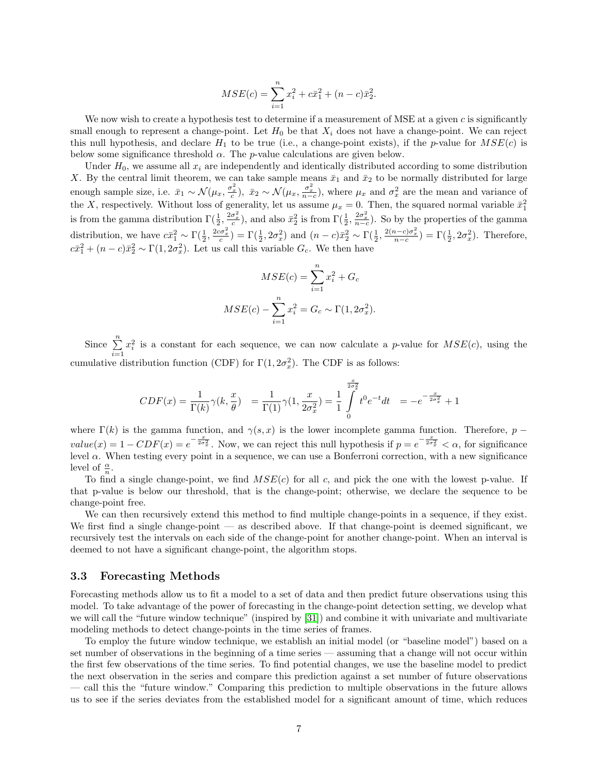$$
MSE(c) = \sum_{i=1}^{n} x_i^2 + c\bar{x}_1^2 + (n - c)\bar{x}_2^2.
$$

We now wish to create a hypothesis test to determine if a measurement of MSE at a given  $c$  is significantly small enough to represent a change-point. Let  $H_0$  be that  $X_i$  does not have a change-point. We can reject this null hypothesis, and declare  $H_1$  to be true (i.e., a change-point exists), if the *p*-value for  $MSE(c)$  is below some significance threshold  $\alpha$ . The *p*-value calculations are given below.

Under  $H_0$ , we assume all  $x_i$  are independently and identically distributed according to some distribution X. By the central limit theorem, we can take sample means  $\bar{x}_1$  and  $\bar{x}_2$  to be normally distributed for large enough sample size, i.e.  $\bar{x}_1 \sim \mathcal{N}(\mu_x, \frac{\sigma_x^2}{c}), \ \bar{x}_2 \sim \mathcal{N}(\mu_x, \frac{\sigma_x^2}{n-c}),$  where  $\mu_x$  and  $\sigma_x^2$  are the mean and variance of the X, respectively. Without loss of generality, let us assume  $\mu_x = 0$ . Then, the squared normal variable  $\bar{x}_1^2$ is from the gamma distribution  $\Gamma(\frac{1}{2}, \frac{2\sigma_x^2}{c})$ , and also  $\bar{x}_2^2$  is from  $\Gamma(\frac{1}{2}, \frac{2\sigma_x^2}{n-c})$ . So by the properties of the gamma distribution, we have  $c\bar{x}_1^2 \sim \Gamma(\frac{1}{2}, \frac{2c\sigma_x^2}{c}) = \Gamma(\frac{1}{2}, 2\sigma_x^2)$  and  $(n-c)\bar{x}_2^2 \sim \Gamma(\frac{1}{2}, \frac{2(n-c)\sigma_x^2}{n-c}) = \Gamma(\frac{1}{2}, 2\sigma_x^2)$ . Therefore,  $c\bar{x}_1^2 + (n-c)\bar{x}_2^2 \sim \Gamma(1, 2\sigma_x^2)$ . Let us call this variable  $G_c$ . We then have

$$
MSE(c) = \sum_{i=1}^{n} x_i^2 + G_c
$$
  

$$
MSE(c) - \sum_{i=1}^{n} x_i^2 = G_c \sim \Gamma(1, 2\sigma_x^2).
$$

Since  $\sum_{n=1}^{\infty}$  $i=1$  $x_i^2$  is a constant for each sequence, we can now calculate a p-value for  $MSE(c)$ , using the cumulative distribution function (CDF) for  $\Gamma(1, 2\sigma_x^2)$ . The CDF is as follows:

$$
CDF(x) = \frac{1}{\Gamma(k)} \gamma(k, \frac{x}{\theta}) = \frac{1}{\Gamma(1)} \gamma(1, \frac{x}{2\sigma_x^2}) = \frac{1}{1} \int_0^{\frac{x}{2\sigma_x^2}} t^0 e^{-t} dt = -e^{-\frac{x}{2\sigma_x^2}} + 1
$$

where  $\Gamma(k)$  is the gamma function, and  $\gamma(s, x)$  is the lower incomplete gamma function. Therefore, p –  $value(x) = 1 - CDF(x) = e^{-\frac{x}{2\sigma_x^2}}$ . Now, we can reject this null hypothesis if  $p = e^{-\frac{x}{2\sigma_x^2}} < \alpha$ , for significance level α. When testing every point in a sequence, we can use a Bonferroni correction, with a new significance level of  $\frac{\alpha}{n}$ .

To find a single change-point, we find  $MSE(c)$  for all c, and pick the one with the lowest p-value. If that p-value is below our threshold, that is the change-point; otherwise, we declare the sequence to be change-point free.

We can then recursively extend this method to find multiple change-points in a sequence, if they exist. We first find a single change-point — as described above. If that change-point is deemed significant, we recursively test the intervals on each side of the change-point for another change-point. When an interval is deemed to not have a significant change-point, the algorithm stops.

#### 3.3 Forecasting Methods

Forecasting methods allow us to fit a model to a set of data and then predict future observations using this model. To take advantage of the power of forecasting in the change-point detection setting, we develop what we will call the "future window technique" (inspired by [\[31\]](#page-16-11)) and combine it with univariate and multivariate modeling methods to detect change-points in the time series of frames.

To employ the future window technique, we establish an initial model (or "baseline model") based on a set number of observations in the beginning of a time series — assuming that a change will not occur within the first few observations of the time series. To find potential changes, we use the baseline model to predict the next observation in the series and compare this prediction against a set number of future observations — call this the "future window." Comparing this prediction to multiple observations in the future allows us to see if the series deviates from the established model for a significant amount of time, which reduces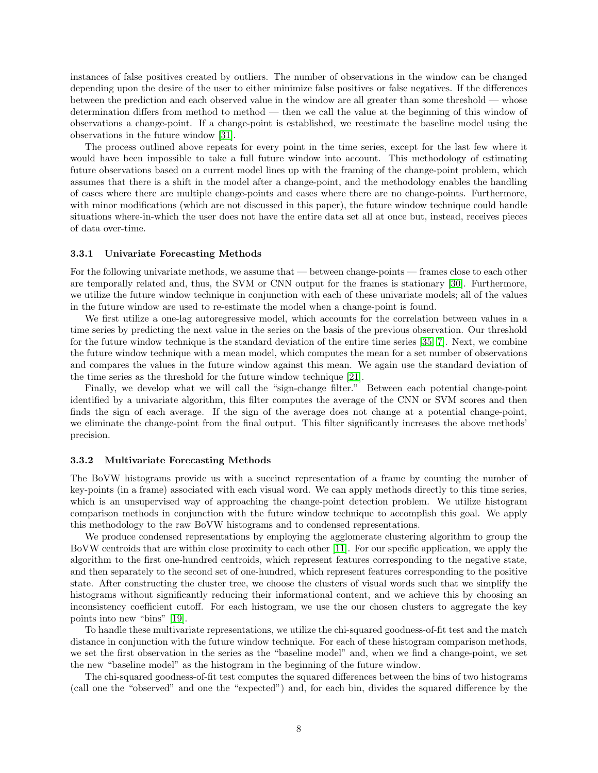instances of false positives created by outliers. The number of observations in the window can be changed depending upon the desire of the user to either minimize false positives or false negatives. If the differences between the prediction and each observed value in the window are all greater than some threshold — whose determination differs from method to method — then we call the value at the beginning of this window of observations a change-point. If a change-point is established, we reestimate the baseline model using the observations in the future window [\[31\]](#page-16-11).

The process outlined above repeats for every point in the time series, except for the last few where it would have been impossible to take a full future window into account. This methodology of estimating future observations based on a current model lines up with the framing of the change-point problem, which assumes that there is a shift in the model after a change-point, and the methodology enables the handling of cases where there are multiple change-points and cases where there are no change-points. Furthermore, with minor modifications (which are not discussed in this paper), the future window technique could handle situations where-in-which the user does not have the entire data set all at once but, instead, receives pieces of data over-time.

#### 3.3.1 Univariate Forecasting Methods

For the following univariate methods, we assume that — between change-points — frames close to each other are temporally related and, thus, the SVM or CNN output for the frames is stationary [\[30\]](#page-16-12). Furthermore, we utilize the future window technique in conjunction with each of these univariate models; all of the values in the future window are used to re-estimate the model when a change-point is found.

We first utilize a one-lag autoregressive model, which accounts for the correlation between values in a time series by predicting the next value in the series on the basis of the previous observation. Our threshold for the future window technique is the standard deviation of the entire time series [\[35,](#page-16-13) [7\]](#page-15-12). Next, we combine the future window technique with a mean model, which computes the mean for a set number of observations and compares the values in the future window against this mean. We again use the standard deviation of the time series as the threshold for the future window technique [\[21\]](#page-16-14).

Finally, we develop what we will call the "sign-change filter." Between each potential change-point identified by a univariate algorithm, this filter computes the average of the CNN or SVM scores and then finds the sign of each average. If the sign of the average does not change at a potential change-point, we eliminate the change-point from the final output. This filter significantly increases the above methods' precision.

#### 3.3.2 Multivariate Forecasting Methods

The BoVW histograms provide us with a succinct representation of a frame by counting the number of key-points (in a frame) associated with each visual word. We can apply methods directly to this time series, which is an unsupervised way of approaching the change-point detection problem. We utilize histogram comparison methods in conjunction with the future window technique to accomplish this goal. We apply this methodology to the raw BoVW histograms and to condensed representations.

We produce condensed representations by employing the agglomerate clustering algorithm to group the BoVW centroids that are within close proximity to each other [\[11\]](#page-15-13). For our specific application, we apply the algorithm to the first one-hundred centroids, which represent features corresponding to the negative state, and then separately to the second set of one-hundred, which represent features corresponding to the positive state. After constructing the cluster tree, we choose the clusters of visual words such that we simplify the histograms without significantly reducing their informational content, and we achieve this by choosing an inconsistency coefficient cutoff. For each histogram, we use the our chosen clusters to aggregate the key points into new "bins" [\[19\]](#page-16-15).

To handle these multivariate representations, we utilize the chi-squared goodness-of-fit test and the match distance in conjunction with the future window technique. For each of these histogram comparison methods, we set the first observation in the series as the "baseline model" and, when we find a change-point, we set the new "baseline model" as the histogram in the beginning of the future window.

The chi-squared goodness-of-fit test computes the squared differences between the bins of two histograms (call one the "observed" and one the "expected") and, for each bin, divides the squared difference by the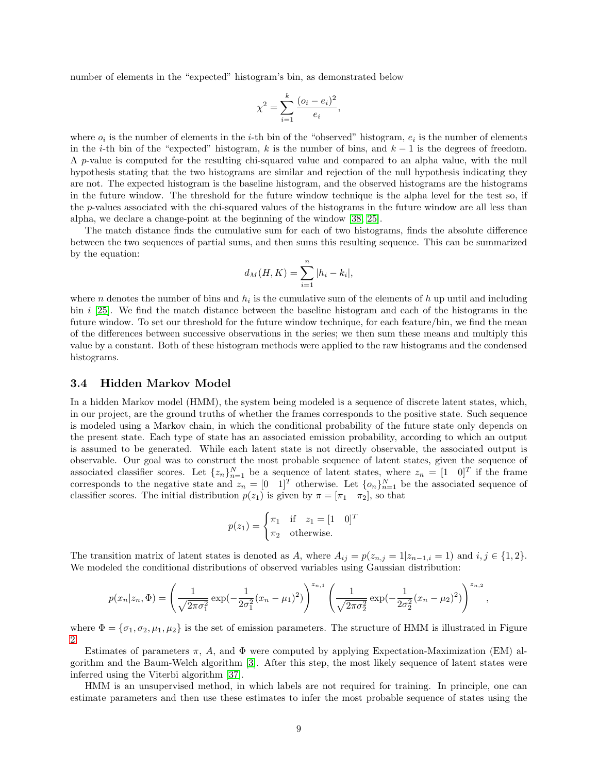number of elements in the "expected" histogram's bin, as demonstrated below

$$
\chi^{2} = \sum_{i=1}^{k} \frac{(o_{i} - e_{i})^{2}}{e_{i}},
$$

where  $o_i$  is the number of elements in the *i*-th bin of the "observed" histogram,  $e_i$  is the number of elements in the i-th bin of the "expected" histogram, k is the number of bins, and  $k-1$  is the degrees of freedom. A p-value is computed for the resulting chi-squared value and compared to an alpha value, with the null hypothesis stating that the two histograms are similar and rejection of the null hypothesis indicating they are not. The expected histogram is the baseline histogram, and the observed histograms are the histograms in the future window. The threshold for the future window technique is the alpha level for the test so, if the p-values associated with the chi-squared values of the histograms in the future window are all less than alpha, we declare a change-point at the beginning of the window [\[38,](#page-17-2) [25\]](#page-16-16).

The match distance finds the cumulative sum for each of two histograms, finds the absolute difference between the two sequences of partial sums, and then sums this resulting sequence. This can be summarized by the equation:

$$
d_M(H, K) = \sum_{i=1}^{n} |h_i - k_i|,
$$

where *n* denotes the number of bins and  $h_i$  is the cumulative sum of the elements of  $h$  up until and including bin i [\[25\]](#page-16-16). We find the match distance between the baseline histogram and each of the histograms in the future window. To set our threshold for the future window technique, for each feature/bin, we find the mean of the differences between successive observations in the series; we then sum these means and multiply this value by a constant. Both of these histogram methods were applied to the raw histograms and the condensed histograms.

#### 3.4 Hidden Markov Model

In a hidden Markov model (HMM), the system being modeled is a sequence of discrete latent states, which, in our project, are the ground truths of whether the frames corresponds to the positive state. Such sequence is modeled using a Markov chain, in which the conditional probability of the future state only depends on the present state. Each type of state has an associated emission probability, according to which an output is assumed to be generated. While each latent state is not directly observable, the associated output is observable. Our goal was to construct the most probable sequence of latent states, given the sequence of associated classifier scores. Let  $\{z_n\}_{n=1}^N$  be a sequence of latent states, where  $z_n = \begin{bmatrix} 1 & 0 \end{bmatrix}^T$  if the frame corresponds to the negative state and  $z_n = \begin{bmatrix} 0 & 1 \end{bmatrix}^T$  otherwise. Let  $\{o_n\}_{n=1}^N$  be the associated sequence of classifier scores. The initial distribution  $p(z_1)$  is given by  $\pi = [\pi_1 \ \pi_2]$ , so that

$$
p(z_1) = \begin{cases} \pi_1 & \text{if } z_1 = [1 \ 0]^T \\ \pi_2 & \text{otherwise.} \end{cases}
$$

The transition matrix of latent states is denoted as A, where  $A_{ij} = p(z_{n,j} = 1|z_{n-1,i} = 1)$  and  $i, j \in \{1, 2\}$ . We modeled the conditional distributions of observed variables using Gaussian distribution:

$$
p(x_n|z_n, \Phi) = \left(\frac{1}{\sqrt{2\pi\sigma_1^2}} \exp\left(-\frac{1}{2\sigma_1^2}(x_n - \mu_1)^2\right)\right)^{z_{n,1}} \left(\frac{1}{\sqrt{2\pi\sigma_2^2}} \exp\left(-\frac{1}{2\sigma_2^2}(x_n - \mu_2)^2\right)\right)^{z_{n,2}}
$$

,

where  $\Phi = {\sigma_1, \sigma_2, \mu_1, \mu_2}$  is the set of emission parameters. The structure of HMM is illustrated in Figure [2.](#page-9-0)

Estimates of parameters  $\pi$ , A, and  $\Phi$  were computed by applying Expectation-Maximization (EM) algorithm and the Baum-Welch algorithm [\[3\]](#page-15-14). After this step, the most likely sequence of latent states were inferred using the Viterbi algorithm [\[37\]](#page-16-17).

HMM is an unsupervised method, in which labels are not required for training. In principle, one can estimate parameters and then use these estimates to infer the most probable sequence of states using the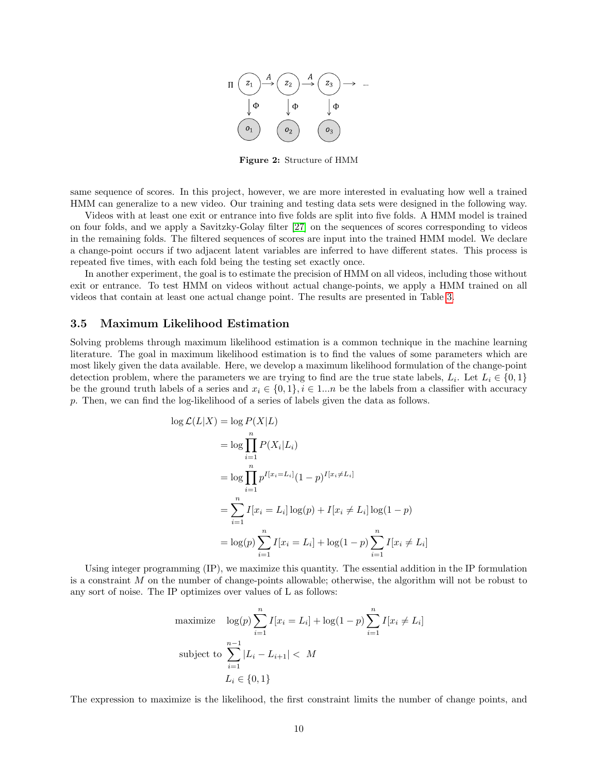

Figure 2: Structure of HMM

<span id="page-9-0"></span>same sequence of scores. In this project, however, we are more interested in evaluating how well a trained HMM can generalize to a new video. Our training and testing data sets were designed in the following way.

Videos with at least one exit or entrance into five folds are split into five folds. A HMM model is trained on four folds, and we apply a Savitzky-Golay filter [\[27\]](#page-16-18) on the sequences of scores corresponding to videos in the remaining folds. The filtered sequences of scores are input into the trained HMM model. We declare a change-point occurs if two adjacent latent variables are inferred to have different states. This process is repeated five times, with each fold being the testing set exactly once.

In another experiment, the goal is to estimate the precision of HMM on all videos, including those without exit or entrance. To test HMM on videos without actual change-points, we apply a HMM trained on all videos that contain at least one actual change point. The results are presented in Table [3.](#page-13-0)

#### 3.5 Maximum Likelihood Estimation

Solving problems through maximum likelihood estimation is a common technique in the machine learning literature. The goal in maximum likelihood estimation is to find the values of some parameters which are most likely given the data available. Here, we develop a maximum likelihood formulation of the change-point detection problem, where the parameters we are trying to find are the true state labels,  $L_i$ . Let  $L_i \in \{0,1\}$ be the ground truth labels of a series and  $x_i \in \{0, 1\}, i \in 1...n$  be the labels from a classifier with accuracy p. Then, we can find the log-likelihood of a series of labels given the data as follows.

$$
\log \mathcal{L}(L|X) = \log P(X|L)
$$
  
=  $\log \prod_{i=1}^{n} P(X_i|L_i)$   
=  $\log \prod_{i=1}^{n} p^{I[x_i=L_i]} (1-p)^{I[x_i\neq L_i]}$   
=  $\sum_{i=1}^{n} I[x_i = L_i] \log(p) + I[x_i \neq L_i] \log(1-p)$   
=  $\log(p) \sum_{i=1}^{n} I[x_i = L_i] + \log(1-p) \sum_{i=1}^{n} I[x_i \neq L_i]$ 

Using integer programming (IP), we maximize this quantity. The essential addition in the IP formulation is a constraint M on the number of change-points allowable; otherwise, the algorithm will not be robust to any sort of noise. The IP optimizes over values of L as follows:

maximize 
$$
\log(p) \sum_{i=1}^{n} I[x_i = L_i] + \log(1 - p) \sum_{i=1}^{n} I[x_i \neq L_i]
$$
  
\nsubject to  $\sum_{i=1}^{n-1} |L_i - L_{i+1}| < M$   
\n $L_i \in \{0, 1\}$ 

The expression to maximize is the likelihood, the first constraint limits the number of change points, and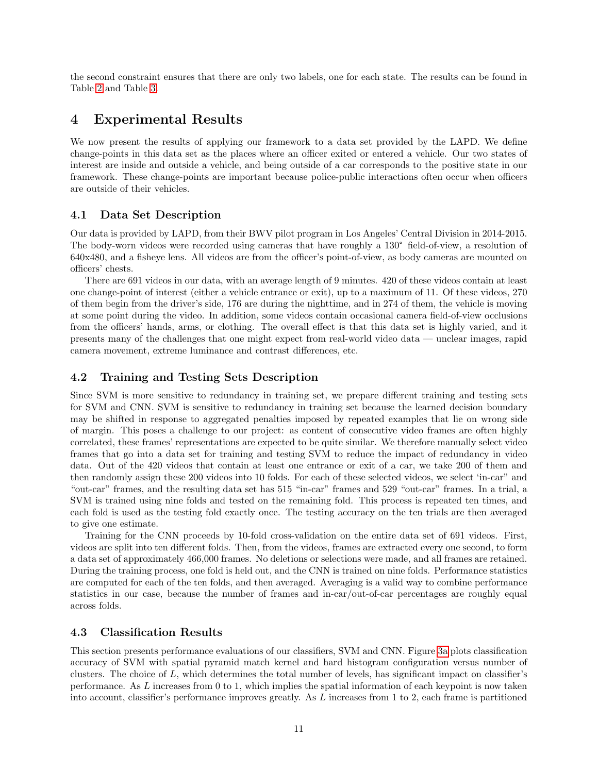the second constraint ensures that there are only two labels, one for each state. The results can be found in Table [2](#page-12-0) and Table [3.](#page-13-0)

# <span id="page-10-1"></span>4 Experimental Results

We now present the results of applying our framework to a data set provided by the LAPD. We define change-points in this data set as the places where an officer exited or entered a vehicle. Our two states of interest are inside and outside a vehicle, and being outside of a car corresponds to the positive state in our framework. These change-points are important because police-public interactions often occur when officers are outside of their vehicles.

# 4.1 Data Set Description

Our data is provided by LAPD, from their BWV pilot program in Los Angeles' Central Division in 2014-2015. The body-worn videos were recorded using cameras that have roughly a 130° field-of-view, a resolution of 640x480, and a fisheye lens. All videos are from the officer's point-of-view, as body cameras are mounted on officers' chests.

There are 691 videos in our data, with an average length of 9 minutes. 420 of these videos contain at least one change-point of interest (either a vehicle entrance or exit), up to a maximum of 11. Of these videos, 270 of them begin from the driver's side, 176 are during the nighttime, and in 274 of them, the vehicle is moving at some point during the video. In addition, some videos contain occasional camera field-of-view occlusions from the officers' hands, arms, or clothing. The overall effect is that this data set is highly varied, and it presents many of the challenges that one might expect from real-world video data — unclear images, rapid camera movement, extreme luminance and contrast differences, etc.

# <span id="page-10-2"></span>4.2 Training and Testing Sets Description

Since SVM is more sensitive to redundancy in training set, we prepare different training and testing sets for SVM and CNN. SVM is sensitive to redundancy in training set because the learned decision boundary may be shifted in response to aggregated penalties imposed by repeated examples that lie on wrong side of margin. This poses a challenge to our project: as content of consecutive video frames are often highly correlated, these frames' representations are expected to be quite similar. We therefore manually select video frames that go into a data set for training and testing SVM to reduce the impact of redundancy in video data. Out of the 420 videos that contain at least one entrance or exit of a car, we take 200 of them and then randomly assign these 200 videos into 10 folds. For each of these selected videos, we select 'in-car" and "out-car" frames, and the resulting data set has 515 "in-car" frames and 529 "out-car" frames. In a trial, a SVM is trained using nine folds and tested on the remaining fold. This process is repeated ten times, and each fold is used as the testing fold exactly once. The testing accuracy on the ten trials are then averaged to give one estimate.

Training for the CNN proceeds by 10-fold cross-validation on the entire data set of 691 videos. First, videos are split into ten different folds. Then, from the videos, frames are extracted every one second, to form a data set of approximately 466,000 frames. No deletions or selections were made, and all frames are retained. During the training process, one fold is held out, and the CNN is trained on nine folds. Performance statistics are computed for each of the ten folds, and then averaged. Averaging is a valid way to combine performance statistics in our case, because the number of frames and in-car/out-of-car percentages are roughly equal across folds.

## <span id="page-10-0"></span>4.3 Classification Results

This section presents performance evaluations of our classifiers, SVM and CNN. Figure [3a](#page-11-1) plots classification accuracy of SVM with spatial pyramid match kernel and hard histogram configuration versus number of clusters. The choice of L, which determines the total number of levels, has significant impact on classifier's performance. As L increases from 0 to 1, which implies the spatial information of each keypoint is now taken into account, classifier's performance improves greatly. As L increases from 1 to 2, each frame is partitioned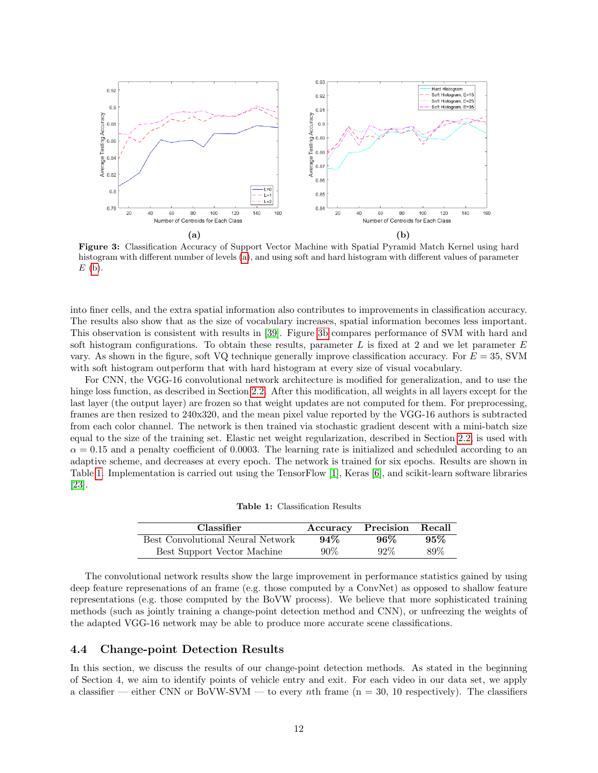<span id="page-11-1"></span>

Figure 3: Classification Accuracy of Support Vector Machine with Spatial Pyramid Match Kernel using hard histogram with different number of levels [\(a\)](#page-11-1), and using soft and hard histogram with different values of parameter  $E$  [\(b\)](#page-11-1).

into finer cells, and the extra spatial information also contributes to improvements in classification accuracy. The results also show that as the size of vocabulary increases, spatial information becomes less important. This observation is consistent with results in [\[39\]](#page-17-1). Figure [3b](#page-11-1) compares performance of SVM with hard and soft histogram configurations. To obtain these results, parameter  $L$  is fixed at 2 and we let parameter  $E$ vary. As shown in the figure, soft VQ technique generally improve classification accuracy. For  $E = 35$ , SVM with soft histogram outperform that with hard histogram at every size of visual vocabulary.

For CNN, the VGG-16 convolutional network architecture is modified for generalization, and to use the hinge loss function, as described in Section [2.2.](#page-3-1) After this modification, all weights in all layers except for the last layer (the output layer) are frozen so that weight updates are not computed for them. For preprocessing, frames are then resized to 240x320, and the mean pixel value reported by the VGG-16 authors is subtracted from each color channel. The network is then trained via stochastic gradient descent with a mini-batch size equal to the size of the training set. Elastic net weight regularization, described in Section [2.2,](#page-3-1) is used with  $\alpha = 0.15$  and a penalty coefficient of 0.0003. The learning rate is initialized and scheduled according to an adaptive scheme, and decreases at every epoch. The network is trained for six epochs. Results are shown in Table [1.](#page-11-2) Implementation is carried out using the TensorFlow [\[1\]](#page-14-0), Keras [\[6\]](#page-15-15), and scikit-learn software libraries [\[23\]](#page-16-19).

Table 1: Classification Results

<span id="page-11-2"></span>

| <b>Classifier</b>                 |        | Accuracy Precision Recall |     |
|-----------------------------------|--------|---------------------------|-----|
| Best Convolutional Neural Network | 94%    | $96\%$                    | 95% |
| Best Support Vector Machine       | $90\%$ | $92\%$                    | 89% |

The convolutional network results show the large improvement in performance statistics gained by using deep feature represenations of an frame (e.g. those computed by a ConvNet) as opposed to shallow feature representations (e.g. those computed by the BoVW process). We believe that more sophisticated training methods (such as jointly training a change-point detection method and CNN), or unfreezing the weights of the adapted VGG-16 network may be able to produce more accurate scene classifications.

## <span id="page-11-0"></span>4.4 Change-point Detection Results

In this section, we discuss the results of our change-point detection methods. As stated in the beginning of Section 4, we aim to identify points of vehicle entry and exit. For each video in our data set, we apply a classifier — either CNN or BoVW-SVM — to every nth frame  $(n = 30, 10$  respectively). The classifiers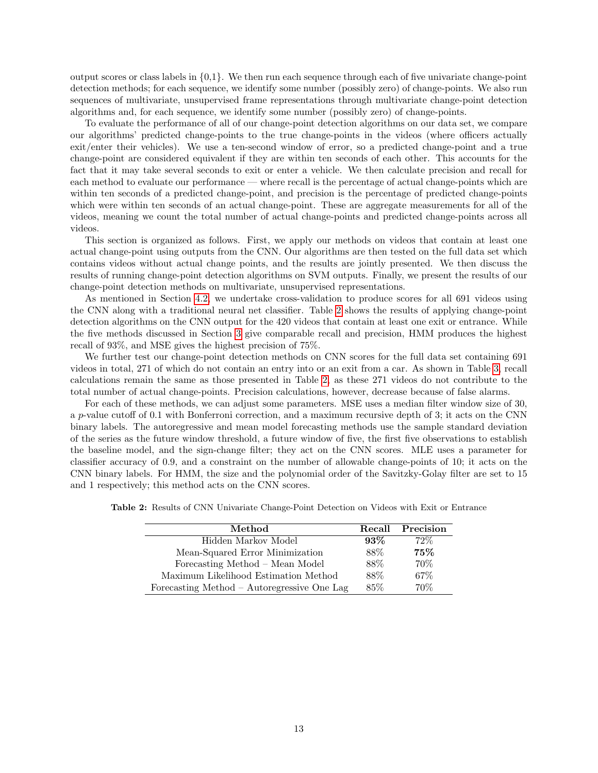output scores or class labels in {0,1}. We then run each sequence through each of five univariate change-point detection methods; for each sequence, we identify some number (possibly zero) of change-points. We also run sequences of multivariate, unsupervised frame representations through multivariate change-point detection algorithms and, for each sequence, we identify some number (possibly zero) of change-points.

To evaluate the performance of all of our change-point detection algorithms on our data set, we compare our algorithms' predicted change-points to the true change-points in the videos (where officers actually exit/enter their vehicles). We use a ten-second window of error, so a predicted change-point and a true change-point are considered equivalent if they are within ten seconds of each other. This accounts for the fact that it may take several seconds to exit or enter a vehicle. We then calculate precision and recall for each method to evaluate our performance — where recall is the percentage of actual change-points which are within ten seconds of a predicted change-point, and precision is the percentage of predicted change-points which were within ten seconds of an actual change-point. These are aggregate measurements for all of the videos, meaning we count the total number of actual change-points and predicted change-points across all videos.

This section is organized as follows. First, we apply our methods on videos that contain at least one actual change-point using outputs from the CNN. Our algorithms are then tested on the full data set which contains videos without actual change points, and the results are jointly presented. We then discuss the results of running change-point detection algorithms on SVM outputs. Finally, we present the results of our change-point detection methods on multivariate, unsupervised representations.

As mentioned in Section [4.2,](#page-10-2) we undertake cross-validation to produce scores for all 691 videos using the CNN along with a traditional neural net classifier. Table [2](#page-12-0) shows the results of applying change-point detection algorithms on the CNN output for the 420 videos that contain at least one exit or entrance. While the five methods discussed in Section [3](#page-5-0) give comparable recall and precision, HMM produces the highest recall of 93%, and MSE gives the highest precision of 75%.

We further test our change-point detection methods on CNN scores for the full data set containing 691 videos in total, 271 of which do not contain an entry into or an exit from a car. As shown in Table [3,](#page-13-0) recall calculations remain the same as those presented in Table [2,](#page-12-0) as these 271 videos do not contribute to the total number of actual change-points. Precision calculations, however, decrease because of false alarms.

For each of these methods, we can adjust some parameters. MSE uses a median filter window size of 30, a p-value cutoff of 0.1 with Bonferroni correction, and a maximum recursive depth of 3; it acts on the CNN binary labels. The autoregressive and mean model forecasting methods use the sample standard deviation of the series as the future window threshold, a future window of five, the first five observations to establish the baseline model, and the sign-change filter; they act on the CNN scores. MLE uses a parameter for classifier accuracy of 0.9, and a constraint on the number of allowable change-points of 10; it acts on the CNN binary labels. For HMM, the size and the polynomial order of the Savitzky-Golay filter are set to 15 and 1 respectively; this method acts on the CNN scores.

| Method                                      |        | Recall Precision |
|---------------------------------------------|--------|------------------|
| Hidden Markov Model                         | $93\%$ | $72\%$           |
| Mean-Squared Error Minimization             | 88%    | 75%              |
| Forecasting Method – Mean Model             | 88%    | 70%              |
| Maximum Likelihood Estimation Method        | 88\%   | 67%              |
| Forecasting Method - Autoregressive One Lag | 85%    | 70\%             |

<span id="page-12-0"></span>Table 2: Results of CNN Univariate Change-Point Detection on Videos with Exit or Entrance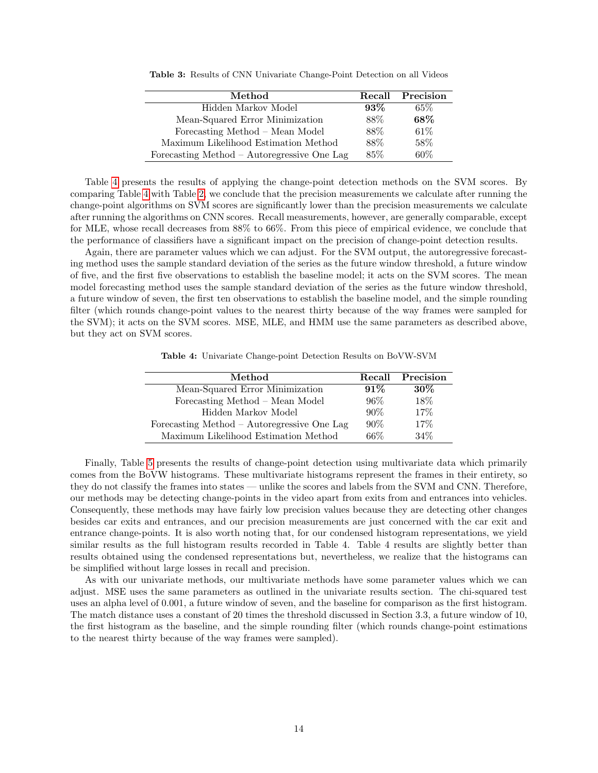| Method                                      |        | Recall Precision |
|---------------------------------------------|--------|------------------|
| Hidden Markov Model                         | $93\%$ | $65\%$           |
| Mean-Squared Error Minimization             | 88%    | 68%              |
| Forecasting Method – Mean Model             | 88%    | 61\%             |
| Maximum Likelihood Estimation Method        | 88%    | 58%              |
| Forecasting Method - Autoregressive One Lag | 85\%   | 60%              |

<span id="page-13-0"></span>Table 3: Results of CNN Univariate Change-Point Detection on all Videos

Table [4](#page-13-1) presents the results of applying the change-point detection methods on the SVM scores. By comparing Table [4](#page-13-1) with Table [2,](#page-12-0) we conclude that the precision measurements we calculate after running the change-point algorithms on SVM scores are significantly lower than the precision measurements we calculate after running the algorithms on CNN scores. Recall measurements, however, are generally comparable, except for MLE, whose recall decreases from 88% to 66%. From this piece of empirical evidence, we conclude that the performance of classifiers have a significant impact on the precision of change-point detection results.

Again, there are parameter values which we can adjust. For the SVM output, the autoregressive forecasting method uses the sample standard deviation of the series as the future window threshold, a future window of five, and the first five observations to establish the baseline model; it acts on the SVM scores. The mean model forecasting method uses the sample standard deviation of the series as the future window threshold, a future window of seven, the first ten observations to establish the baseline model, and the simple rounding filter (which rounds change-point values to the nearest thirty because of the way frames were sampled for the SVM); it acts on the SVM scores. MSE, MLE, and HMM use the same parameters as described above, but they act on SVM scores.

Table 4: Univariate Change-point Detection Results on BoVW-SVM

<span id="page-13-1"></span>

| Method                                      |        | Recall Precision |
|---------------------------------------------|--------|------------------|
| Mean-Squared Error Minimization             | $91\%$ | $30\%$           |
| Forecasting Method - Mean Model             | 96%    | 18%              |
| Hidden Markov Model                         | $90\%$ | 17%              |
| Forecasting Method - Autoregressive One Lag | $90\%$ | 17%              |
| Maximum Likelihood Estimation Method        | $66\%$ | $34\%$           |

Finally, Table [5](#page-14-1) presents the results of change-point detection using multivariate data which primarily comes from the BoVW histograms. These multivariate histograms represent the frames in their entirety, so they do not classify the frames into states — unlike the scores and labels from the SVM and CNN. Therefore, our methods may be detecting change-points in the video apart from exits from and entrances into vehicles. Consequently, these methods may have fairly low precision values because they are detecting other changes besides car exits and entrances, and our precision measurements are just concerned with the car exit and entrance change-points. It is also worth noting that, for our condensed histogram representations, we yield similar results as the full histogram results recorded in Table 4. Table 4 results are slightly better than results obtained using the condensed representations but, nevertheless, we realize that the histograms can be simplified without large losses in recall and precision.

As with our univariate methods, our multivariate methods have some parameter values which we can adjust. MSE uses the same parameters as outlined in the univariate results section. The chi-squared test uses an alpha level of 0.001, a future window of seven, and the baseline for comparison as the first histogram. The match distance uses a constant of 20 times the threshold discussed in Section 3.3, a future window of 10, the first histogram as the baseline, and the simple rounding filter (which rounds change-point estimations to the nearest thirty because of the way frames were sampled).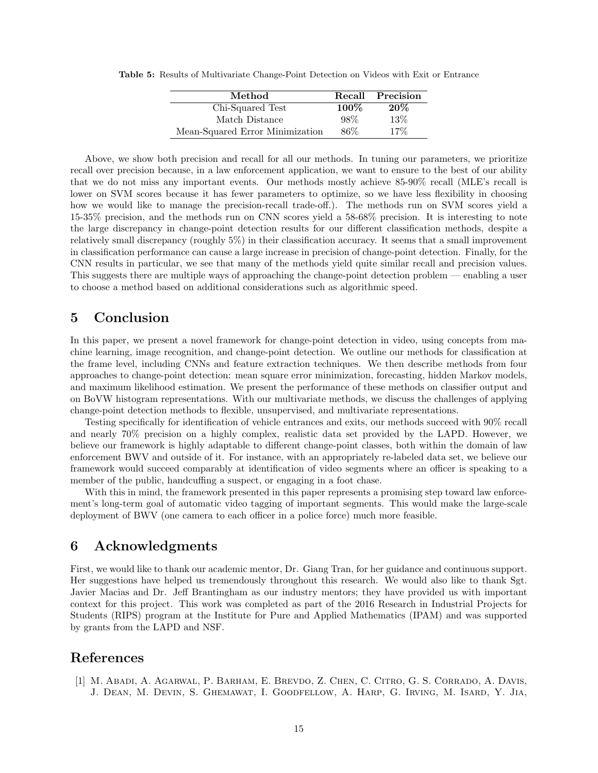<span id="page-14-1"></span>Table 5: Results of Multivariate Change-Point Detection on Videos with Exit or Entrance

| Method                          |         | Recall Precision |
|---------------------------------|---------|------------------|
| Chi-Squared Test                | $100\%$ | 20%              |
| Match Distance                  | 98%     | 13%              |
| Mean-Squared Error Minimization | 86%     | 17\%             |

Above, we show both precision and recall for all our methods. In tuning our parameters, we prioritize recall over precision because, in a law enforcement application, we want to ensure to the best of our ability that we do not miss any important events. Our methods mostly achieve 85-90% recall (MLE's recall is lower on SVM scores because it has fewer parameters to optimize, so we have less flexibility in choosing how we would like to manage the precision-recall trade-off.). The methods run on SVM scores yield a 15-35% precision, and the methods run on CNN scores yield a 58-68% precision. It is interesting to note the large discrepancy in change-point detection results for our different classification methods, despite a relatively small discrepancy (roughly 5%) in their classification accuracy. It seems that a small improvement in classification performance can cause a large increase in precision of change-point detection. Finally, for the CNN results in particular, we see that many of the methods yield quite similar recall and precision values. This suggests there are multiple ways of approaching the change-point detection problem — enabling a user to choose a method based on additional considerations such as algorithmic speed.

# 5 Conclusion

In this paper, we present a novel framework for change-point detection in video, using concepts from machine learning, image recognition, and change-point detection. We outline our methods for classification at the frame level, including CNNs and feature extraction techniques. We then describe methods from four approaches to change-point detection: mean square error minimization, forecasting, hidden Markov models, and maximum likelihood estimation. We present the performance of these methods on classifier output and on BoVW histogram representations. With our multivariate methods, we discuss the challenges of applying change-point detection methods to flexible, unsupervised, and multivariate representations.

Testing specifically for identification of vehicle entrances and exits, our methods succeed with 90% recall and nearly 70% precision on a highly complex, realistic data set provided by the LAPD. However, we believe our framework is highly adaptable to different change-point classes, both within the domain of law enforcement BWV and outside of it. For instance, with an appropriately re-labeled data set, we believe our framework would succeed comparably at identification of video segments where an officer is speaking to a member of the public, handcuffing a suspect, or engaging in a foot chase.

With this in mind, the framework presented in this paper represents a promising step toward law enforcement's long-term goal of automatic video tagging of important segments. This would make the large-scale deployment of BWV (one camera to each officer in a police force) much more feasible.

# 6 Acknowledgments

First, we would like to thank our academic mentor, Dr. Giang Tran, for her guidance and continuous support. Her suggestions have helped us tremendously throughout this research. We would also like to thank Sgt. Javier Macias and Dr. Jeff Brantingham as our industry mentors; they have provided us with important context for this project. This work was completed as part of the 2016 Research in Industrial Projects for Students (RIPS) program at the Institute for Pure and Applied Mathematics (IPAM) and was supported by grants from the LAPD and NSF.

# References

<span id="page-14-0"></span>[1] M. Abadi, A. Agarwal, P. Barham, E. Brevdo, Z. Chen, C. Citro, G. S. Corrado, A. Davis, J. Dean, M. Devin, S. Ghemawat, I. Goodfellow, A. Harp, G. Irving, M. Isard, Y. Jia,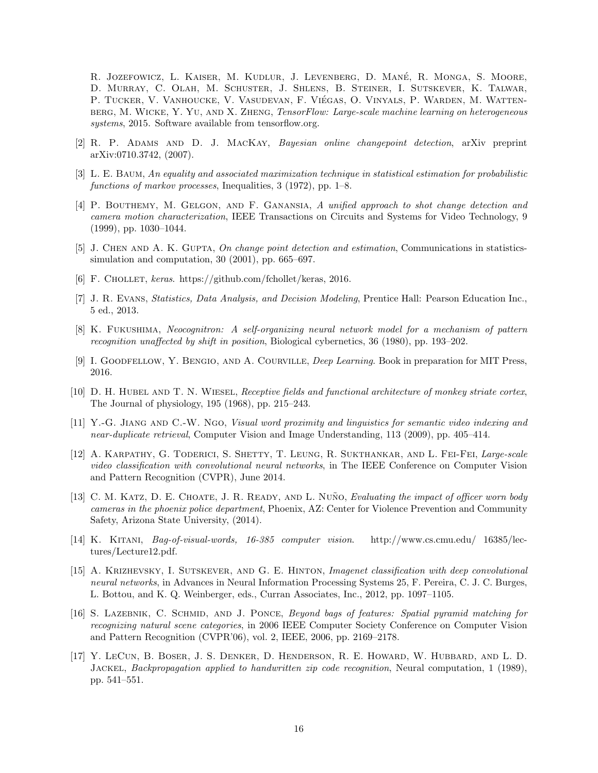R. JOZEFOWICZ, L. KAISER, M. KUDLUR, J. LEVENBERG, D. MANÉ, R. MONGA, S. MOORE, D. Murray, C. Olah, M. Schuster, J. Shlens, B. Steiner, I. Sutskever, K. Talwar, P. Tucker, V. Vanhoucke, V. Vasudevan, F. Viegas, O. Vinyals, P. Warden, M. Watten- ´ berg, M. Wicke, Y. Yu, and X. Zheng, TensorFlow: Large-scale machine learning on heterogeneous systems, 2015. Software available from tensorflow.org.

- <span id="page-15-4"></span>[2] R. P. Adams and D. J. MacKay, Bayesian online changepoint detection, arXiv preprint arXiv:0710.3742, (2007).
- <span id="page-15-14"></span>[3] L. E. Baum, An equality and associated maximization technique in statistical estimation for probabilistic functions of markov processes, Inequalities, 3 (1972), pp. 1–8.
- <span id="page-15-1"></span>[4] P. Bouthemy, M. Gelgon, and F. Ganansia, A unified approach to shot change detection and camera motion characterization, IEEE Transactions on Circuits and Systems for Video Technology, 9 (1999), pp. 1030–1044.
- <span id="page-15-3"></span>[5] J. CHEN AND A. K. GUPTA, On change point detection and estimation, Communications in statisticssimulation and computation, 30 (2001), pp. 665–697.
- <span id="page-15-15"></span>[6] F. CHOLLET, keras. https://github.com/fchollet/keras, 2016.
- <span id="page-15-12"></span>[7] J. R. Evans, Statistics, Data Analysis, and Decision Modeling, Prentice Hall: Pearson Education Inc., 5 ed., 2013.
- <span id="page-15-11"></span>[8] K. Fukushima, Neocognitron: A self-organizing neural network model for a mechanism of pattern recognition unaffected by shift in position, Biological cybernetics, 36 (1980), pp. 193–202.
- <span id="page-15-8"></span>[9] I. GOODFELLOW, Y. BENGIO, AND A. COURVILLE, *Deep Learning*. Book in preparation for MIT Press, 2016.
- <span id="page-15-9"></span>[10] D. H. HUBEL AND T. N. WIESEL, Receptive fields and functional architecture of monkey striate cortex, The Journal of physiology, 195 (1968), pp. 215–243.
- <span id="page-15-13"></span>[11] Y.-G. Jiang and C.-W. Ngo, Visual word proximity and linguistics for semantic video indexing and near-duplicate retrieval, Computer Vision and Image Understanding, 113 (2009), pp. 405–414.
- <span id="page-15-2"></span>[12] A. KARPATHY, G. TODERICI, S. SHETTY, T. LEUNG, R. SUKTHANKAR, AND L. FEI-FEI, Large-scale video classification with convolutional neural networks, in The IEEE Conference on Computer Vision and Pattern Recognition (CVPR), June 2014.
- <span id="page-15-0"></span>[13] C. M. KATZ, D. E. CHOATE, J. R. READY, AND L. NUÑO, Evaluating the impact of officer worn body cameras in the phoenix police department, Phoenix, AZ: Center for Violence Prevention and Community Safety, Arizona State University, (2014).
- <span id="page-15-6"></span>[14] K. Kitani, Bag-of-visual-words, 16-385 computer vision. http://www.cs.cmu.edu/ 16385/lectures/Lecture12.pdf.
- <span id="page-15-5"></span>[15] A. Krizhevsky, I. Sutskever, and G. E. Hinton, Imagenet classification with deep convolutional neural networks, in Advances in Neural Information Processing Systems 25, F. Pereira, C. J. C. Burges, L. Bottou, and K. Q. Weinberger, eds., Curran Associates, Inc., 2012, pp. 1097–1105.
- <span id="page-15-7"></span>[16] S. LAZEBNIK, C. SCHMID, AND J. PONCE, Beyond bags of features: Spatial pyramid matching for recognizing natural scene categories, in 2006 IEEE Computer Society Conference on Computer Vision and Pattern Recognition (CVPR'06), vol. 2, IEEE, 2006, pp. 2169–2178.
- <span id="page-15-10"></span>[17] Y. LeCun, B. Boser, J. S. Denker, D. Henderson, R. E. Howard, W. Hubbard, and L. D. JACKEL, Backpropagation applied to handwritten zip code recognition, Neural computation, 1 (1989), pp. 541–551.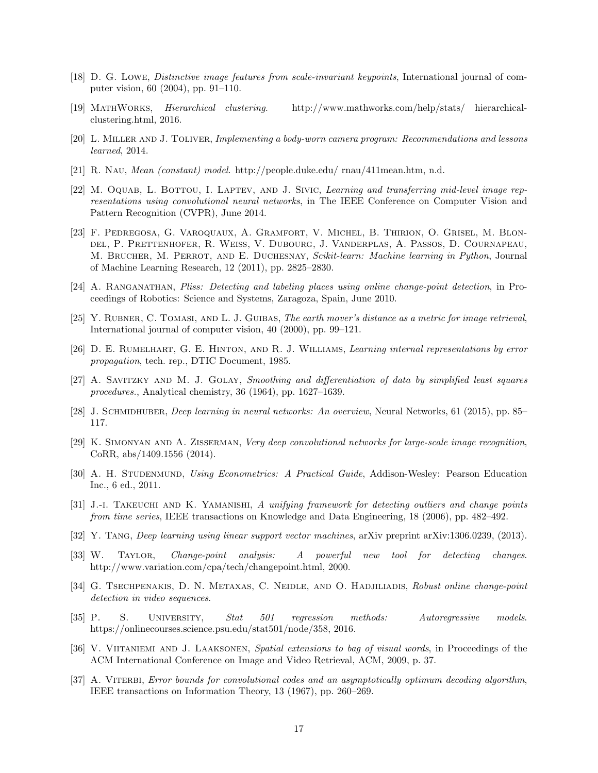- <span id="page-16-3"></span>[18] D. G. Lowe, Distinctive image features from scale-invariant keypoints, International journal of computer vision, 60 (2004), pp. 91–110.
- <span id="page-16-15"></span>[19] MathWorks, Hierarchical clustering. http://www.mathworks.com/help/stats/ hierarchicalclustering.html, 2016.
- <span id="page-16-0"></span>[20] L. MILLER AND J. TOLIVER, Implementing a body-worn camera program: Recommendations and lessons learned, 2014.
- <span id="page-16-14"></span>[21] R. Nau, Mean (constant) model. http://people.duke.edu/ rnau/411mean.htm, n.d.
- <span id="page-16-7"></span>[22] M. OQUAB, L. BOTTOU, I. LAPTEV, AND J. SIVIC, Learning and transferring mid-level image representations using convolutional neural networks, in The IEEE Conference on Computer Vision and Pattern Recognition (CVPR), June 2014.
- <span id="page-16-19"></span>[23] F. Pedregosa, G. Varoquaux, A. Gramfort, V. Michel, B. Thirion, O. Grisel, M. Blondel, P. Prettenhofer, R. Weiss, V. Dubourg, J. Vanderplas, A. Passos, D. Cournapeau, M. Brucher, M. Perrot, and E. Duchesnay, Scikit-learn: Machine learning in Python, Journal of Machine Learning Research, 12 (2011), pp. 2825–2830.
- <span id="page-16-1"></span>[24] A. Ranganathan, Pliss: Detecting and labeling places using online change-point detection, in Proceedings of Robotics: Science and Systems, Zaragoza, Spain, June 2010.
- <span id="page-16-16"></span>[25] Y. Rubner, C. Tomasi, and L. J. Guibas, The earth mover's distance as a metric for image retrieval, International journal of computer vision, 40 (2000), pp. 99–121.
- <span id="page-16-5"></span>[26] D. E. RUMELHART, G. E. HINTON, AND R. J. WILLIAMS, Learning internal representations by error propagation, tech. rep., DTIC Document, 1985.
- <span id="page-16-18"></span>[27] A. Savitzky and M. J. Golay, Smoothing and differentiation of data by simplified least squares procedures., Analytical chemistry, 36 (1964), pp. 1627–1639.
- <span id="page-16-6"></span>[28] J. SCHMIDHUBER, *Deep learning in neural networks: An overview*, Neural Networks, 61 (2015), pp. 85– 117.
- <span id="page-16-8"></span>[29] K. Simonyan and A. Zisserman, Very deep convolutional networks for large-scale image recognition, CoRR, abs/1409.1556 (2014).
- <span id="page-16-12"></span>[30] A. H. Studenmund, Using Econometrics: A Practical Guide, Addison-Wesley: Pearson Education Inc., 6 ed., 2011.
- <span id="page-16-11"></span>[31] J.-I. TAKEUCHI AND K. YAMANISHI, A unifying framework for detecting outliers and change points from time series, IEEE transactions on Knowledge and Data Engineering, 18 (2006), pp. 482–492.
- <span id="page-16-9"></span>[32] Y. TANG, Deep learning using linear support vector machines, arXiv preprint arXiv:1306.0239, (2013).
- <span id="page-16-10"></span>[33] W. Taylor, Change-point analysis: A powerful new tool for detecting changes. http://www.variation.com/cpa/tech/changepoint.html, 2000.
- <span id="page-16-2"></span>[34] G. TSECHPENAKIS, D. N. METAXAS, C. NEIDLE, AND O. HADJILIADIS, Robust online change-point detection in video sequences.
- <span id="page-16-13"></span>[35] P. S. UNIVERSITY, Stat 501 regression methods: Autoregressive models. https://onlinecourses.science.psu.edu/stat501/node/358, 2016.
- <span id="page-16-4"></span>[36] V. Viitaniemi and J. Laaksonen, Spatial extensions to bag of visual words, in Proceedings of the ACM International Conference on Image and Video Retrieval, ACM, 2009, p. 37.
- <span id="page-16-17"></span>[37] A. VITERBI, Error bounds for convolutional codes and an asymptotically optimum decoding algorithm, IEEE transactions on Information Theory, 13 (1967), pp. 260–269.